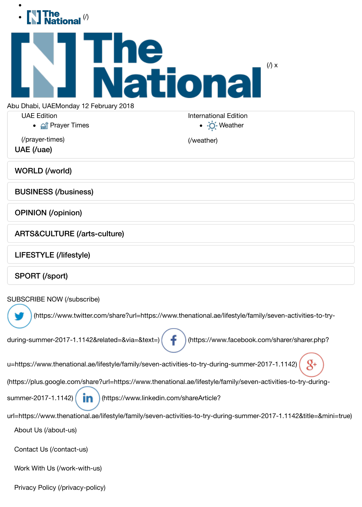| The<br>National                                                                                                                              |                                                                   |
|----------------------------------------------------------------------------------------------------------------------------------------------|-------------------------------------------------------------------|
| The<br>National                                                                                                                              | $(\prime)$ x                                                      |
| Abu Dhabi, UAEMonday 12 February 2018                                                                                                        |                                                                   |
| <b>UAE Edition</b><br>• <b>All</b> Prayer Times                                                                                              | <b>International Edition</b><br>$\bullet$ $\cdot$ $\circ$ Weather |
| (/prayer-times)<br>UAE (/uae)                                                                                                                | (/weather)                                                        |
| <b>WORLD (/world)</b>                                                                                                                        |                                                                   |
| <b>BUSINESS (/business)</b>                                                                                                                  |                                                                   |
| <b>OPINION</b> (/opinion)                                                                                                                    |                                                                   |
| <b>ARTS&amp;CULTURE (/arts-culture)</b>                                                                                                      |                                                                   |
| LIFESTYLE (/lifestyle)                                                                                                                       |                                                                   |
| <b>SPORT (/sport)</b>                                                                                                                        |                                                                   |
| <b>SUBSCRIBE NOW (/subscribe)</b><br>(https://www.twitter.com/share?url=https://www.thenational.ae/lifestyle/family/seven-activities-to-try- |                                                                   |
|                                                                                                                                              |                                                                   |
| during-summer-2017-1.1142&related=&via=&text=)<br>(https://www.facebook.com/sharer/sharer.php?                                               |                                                                   |
| u=https://www.thenational.ae/lifestyle/family/seven-activities-to-try-during-summer-2017-1.1142)                                             |                                                                   |
| (https://plus.google.com/share?url=https://www.thenational.ae/lifestyle/family/seven-activities-to-try-during-                               |                                                                   |
| summer-2017-1.1142)<br>(https://www.linkedin.com/shareArticle?                                                                               |                                                                   |
| url=https://www.thenational.ae/lifestyle/family/seven-activities-to-try-during-summer-2017-1.1142&title=&mini=true)                          |                                                                   |
| About Us (/about-us)                                                                                                                         |                                                                   |
| Contact Us (/contact-us)                                                                                                                     |                                                                   |
| Work With Us (/work-with-us)                                                                                                                 |                                                                   |
| Privacy Policy (/privacy-policy)                                                                                                             |                                                                   |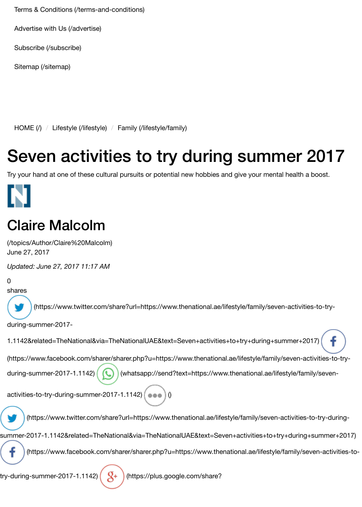[Terms & Conditions \(/terms-and-conditions\)](https://www.thenational.ae/terms-and-conditions)

[Advertise with Us \(/advertise\)](https://www.thenational.ae/advertise)

[Subscribe \(/subscribe\)](https://www.thenational.ae/subscribe)

[Sitemap \(/sitemap\)](https://www.thenational.ae/sitemap)

[HOME \(/\)](https://www.thenational.ae/) / [Lifestyle \(/lifestyle\)](https://www.thenational.ae/lifestyle) / [Family \(/lifestyle/family\)](https://www.thenational.ae/lifestyle/family)

## Seven activities to try during summer 2017

Try your hand at one of these cultural pursuits or potential new hobbies and give your mental health a boost.

### [Claire Malcolm](https://www.thenational.ae/topics/Author/Claire%20Malcolm)

(/topics/Author/Claire%20Malcolm) June 27, 2017

*Updated: June 27, 2017 11:17 AM*

0

shares

(https://www.twitter.com/share?url=https://www.thenational.ae/lifestyle/family/seven-activities-to-try-

during-summer-2017-

```
1.1142&related=TheNational&via=TheNationalUAE&text=Seven+activities+to+try+during+summer+2017)
```
[\(https://www.facebook.com/sharer/sharer.php?u=https://www.thenational.ae/lifestyle/family/seven-activities-to-try-](https://www.facebook.com/sharer/sharer.php?u=https://www.thenational.ae/lifestyle/family/seven-activities-to-try-during-summer-2017-1.1142)

[during-summer-2017-1.1142\) \(whatsapp://send?text=https://www.thenational.ae/lifestyle/family/seven-](whatsapp://send?text=https://www.thenational.ae/lifestyle/family/seven-activities-to-try-during-summer-2017-1.1142)

activities-to-try-during-summer-2017-1.1142) (as a 10

(https://www.twitter.com/share?url=https://www.thenational.ae/lifestyle/family/seven-activities-to-try-during-

[summer-2017-1.1142&related=TheNational&via=TheNationalUAE&text=Seven+activities+to+try+during+summer+2017\)](https://www.twitter.com/share?url=https://www.thenational.ae/lifestyle/family/seven-activities-to-try-during-summer-2017-1.1142&related=TheNational&via=TheNationalUAE&text=Seven+activities+to+try+during+summer+2017)

 [\(https://www.facebook.com/sharer/sharer.php?u=https://www.thenational.ae/lifestyle/family/seven-activities-to-](https://www.facebook.com/sharer/sharer.php?u=https://www.thenational.ae/lifestyle/family/seven-activities-to-try-during-summer-2017-1.1142)

try-during-summer-2017-1.1142)  $( \overline{A}^+ )$  (https://plus.google.com/share?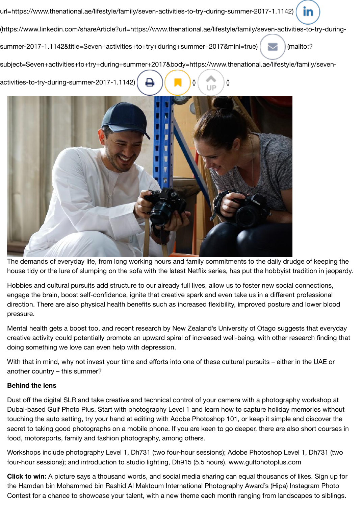[url=https://www.thenational.ae/lifestyle/family/seven-activities-to-try-during-summer-2017-1.1142\)](https://plus.google.com/share?url=https://www.thenational.ae/lifestyle/family/seven-activities-to-try-during-summer-2017-1.1142) in [\(https://www.linkedin.com/shareArticle?url=https://www.thenational.ae/lifestyle/family/seven-activities-to-try-during](https://www.linkedin.com/shareArticle?url=https://www.thenational.ae/lifestyle/family/seven-activities-to-try-during-summer-2017-1.1142&title=Seven+activities+to+try+during+summer+2017&mini=true)summer-2017-1.1142&title=Seven+activities+to+try+during+summer+2017&mini=true) [Neallto:? [subject=Seven+activities+to+try+during+summer+2017&body=https://www.thenational.ae/lifestyle/family/seven](mailto:?subject=Seven+activities+to+try+during+summer+2017&body=https://www.thenational.ae/lifestyle/family/seven-activities-to-try-during-summer-2017-1.1142)activities-to-try-during-summer-2017-1.1142)  $\begin{bmatrix} 1 & 1 \\ 0 & 1 \end{bmatrix}$  (



The demands of everyday life, from long working hours and family commitments to the daily drudge of keeping the house tidy or the lure of slumping on the sofa with the latest Netflix series, has put the hobbyist tradition in jeopardy.

Hobbies and cultural pursuits add structure to our already full lives, allow us to foster new social connections, engage the brain, boost self-confidence, ignite that creative spark and even take us in a different professional direction. There are also physical health benefits such as increased flexibility, improved posture and lower blood pressure.

Mental health gets a boost too, and recent research by New Zealand's University of Otago suggests that everyday creative activity could potentially promote an upward spiral of increased well-being, with other research finding that doing something we love can even help with depression.

With that in mind, why not invest your time and efforts into one of these cultural pursuits – either in the UAE or another country – this summer?

### **Behind the lens**

Dust off the digital SLR and take creative and technical control of your camera with a photography workshop at Dubai-based Gulf Photo Plus. Start with photography Level 1 and learn how to capture holiday memories without touching the auto setting, try your hand at editing with Adobe Photoshop 101, or keep it simple and discover the secret to taking good photographs on a mobile phone. If you are keen to go deeper, there are also short courses in food, motorsports, family and fashion photography, among others.

Workshops include photography Level 1, Dh731 (two four-hour sessions); Adobe Photoshop Level 1, Dh731 (two four-hour sessions); and introduction to studio lighting, Dh915 (5.5 hours). www.gulfphotoplus.com

**Click to win:** A picture says a thousand words, and social media sharing can equal thousands of likes. Sign up for the Hamdan bin Mohammed bin Rashid Al Maktoum International Photography Award's (Hipa) Instagram Photo Contest for a chance to showcase your talent, with a new theme each month ranging from landscapes to siblings.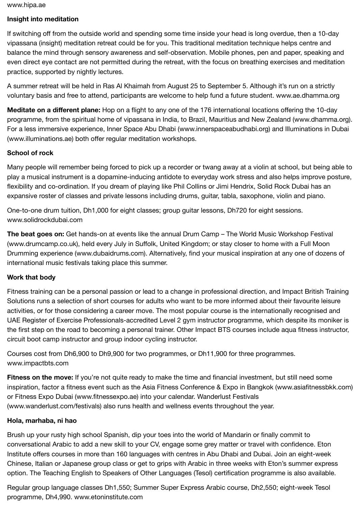www.hipa.ae

#### **Insight into meditation**

If switching off from the outside world and spending some time inside your head is long overdue, then a 10-day vipassana (insight) meditation retreat could be for you. This traditional meditation technique helps centre and balance the mind through sensory awareness and self-observation. Mobile phones, pen and paper, speaking and even direct eye contact are not permitted during the retreat, with the focus on breathing exercises and meditation practice, supported by nightly lectures.

A summer retreat will be held in Ras Al Khaimah from August 25 to September 5. Although it's run on a strictly voluntary basis and free to attend, participants are welcome to help fund a future student. www.ae.dhamma.org

**Meditate on a different plane:** Hop on a flight to any one of the 176 international locations offering the 10-day programme, from the spiritual home of vipassana in India, to Brazil, Mauritius and New Zealand (www.dhamma.org). For a less immersive experience, Inner Space Abu Dhabi (www.innerspaceabudhabi.org) and Illuminations in Dubai (www.illuminations.ae) both offer regular meditation workshops.

#### **School of rock**

Many people will remember being forced to pick up a recorder or twang away at a violin at school, but being able to play a musical instrument is a dopamine-inducing antidote to everyday work stress and also helps improve posture, flexibility and co-ordination. If you dream of playing like Phil Collins or Jimi Hendrix, Solid Rock Dubai has an expansive roster of classes and private lessons including drums, guitar, tabla, saxophone, violin and piano.

One-to-one drum tuition, Dh1,000 for eight classes; group guitar lessons, Dh720 for eight sessions. www.solidrockdubai.com

**The beat goes on:** Get hands-on at events like the annual Drum Camp – The World Music Workshop Festival (www.drumcamp.co.uk), held every July in Suffolk, United Kingdom; or stay closer to home with a Full Moon Drumming experience (www.dubaidrums.com). Alternatively, find your musical inspiration at any one of dozens of international music festivals taking place this summer.

#### **Work that body**

Fitness training can be a personal passion or lead to a change in professional direction, and Impact British Training Solutions runs a selection of short courses for adults who want to be more informed about their favourite leisure activities, or for those considering a career move. The most popular course is the internationally recognised and UAE Register of Exercise Professionals-accredited Level 2 gym instructor programme, which despite its moniker is the first step on the road to becoming a personal trainer. Other Impact BTS courses include aqua fitness instructor, circuit boot camp instructor and group indoor cycling instructor.

Courses cost from Dh6,900 to Dh9,900 for two programmes, or Dh11,900 for three programmes. www.impactbts.com

**Fitness on the move:** If you're not quite ready to make the time and financial investment, but still need some inspiration, factor a fitness event such as the Asia Fitness Conference & Expo in Bangkok (www.asiafitnessbkk.com) or Fitness Expo Dubai (www.fitnessexpo.ae) into your calendar. Wanderlust Festivals (www.wanderlust.com/festivals) also runs health and wellness events throughout the year.

#### **Hola, marhaba, ni hao**

Brush up your rusty high school Spanish, dip your toes into the world of Mandarin or finally commit to conversational Arabic to add a new skill to your CV, engage some grey matter or travel with confidence. Eton Institute offers courses in more than 160 languages with centres in Abu Dhabi and Dubai. Join an eight-week Chinese, Italian or Japanese group class or get to grips with Arabic in three weeks with Eton's summer express option. The Teaching English to Speakers of Other Languages (Tesol) certification programme is also available.

Regular group language classes Dh1,550; Summer Super Express Arabic course, Dh2,550; eight-week Tesol programme, Dh4,990. www.etoninstitute.com